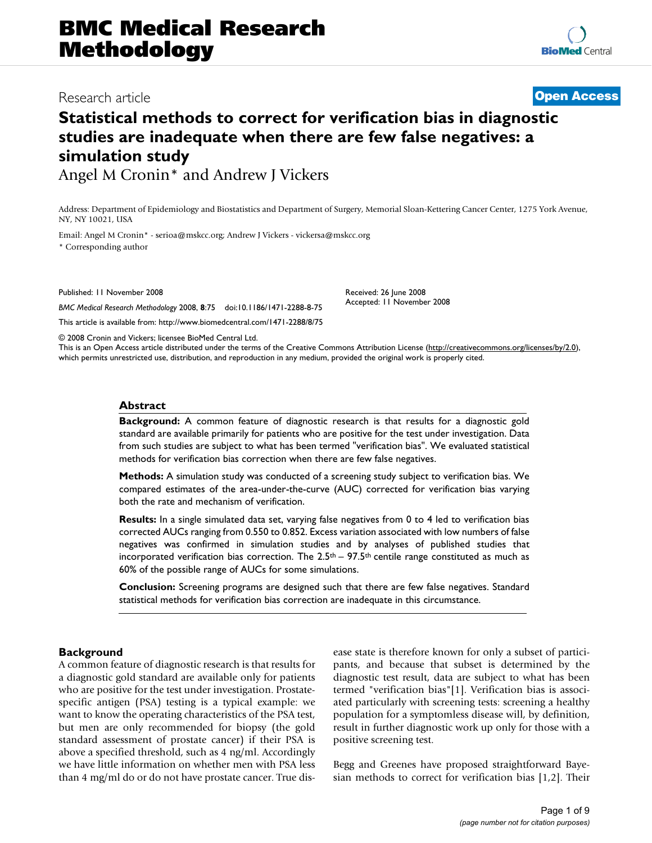# Research article **[Open Access](http://www.biomedcentral.com/info/about/charter/)**

# **Statistical methods to correct for verification bias in diagnostic studies are inadequate when there are few false negatives: a simulation study**

Angel M Cronin\* and Andrew J Vickers

Address: Department of Epidemiology and Biostatistics and Department of Surgery, Memorial Sloan-Kettering Cancer Center, 1275 York Avenue, NY, NY 10021, USA

Email: Angel M Cronin\* - serioa@mskcc.org; Andrew J Vickers - vickersa@mskcc.org

\* Corresponding author

Published: 11 November 2008

*BMC Medical Research Methodology* 2008, **8**:75 doi:10.1186/1471-2288-8-75 [This article is available from: http://www.biomedcentral.com/1471-2288/8/75](http://www.biomedcentral.com/1471-2288/8/75)

© 2008 Cronin and Vickers; licensee BioMed Central Ltd.

Accepted: 11 November 2008

Received: 26 June 2008

This is an Open Access article distributed under the terms of the Creative Commons Attribution License [\(http://creativecommons.org/licenses/by/2.0\)](http://creativecommons.org/licenses/by/2.0), which permits unrestricted use, distribution, and reproduction in any medium, provided the original work is properly cited.

### **Abstract**

**Background:** A common feature of diagnostic research is that results for a diagnostic gold standard are available primarily for patients who are positive for the test under investigation. Data from such studies are subject to what has been termed "verification bias". We evaluated statistical methods for verification bias correction when there are few false negatives.

**Methods:** A simulation study was conducted of a screening study subject to verification bias. We compared estimates of the area-under-the-curve (AUC) corrected for verification bias varying both the rate and mechanism of verification.

**Results:** In a single simulated data set, varying false negatives from 0 to 4 led to verification bias corrected AUCs ranging from 0.550 to 0.852. Excess variation associated with low numbers of false negatives was confirmed in simulation studies and by analyses of published studies that incorporated verification bias correction. The  $2.5<sup>th</sup> - 97.5<sup>th</sup>$  centile range constituted as much as 60% of the possible range of AUCs for some simulations.

**Conclusion:** Screening programs are designed such that there are few false negatives. Standard statistical methods for verification bias correction are inadequate in this circumstance.

### **Background**

A common feature of diagnostic research is that results for a diagnostic gold standard are available only for patients who are positive for the test under investigation. Prostatespecific antigen (PSA) testing is a typical example: we want to know the operating characteristics of the PSA test, but men are only recommended for biopsy (the gold standard assessment of prostate cancer) if their PSA is above a specified threshold, such as 4 ng/ml. Accordingly we have little information on whether men with PSA less than 4 mg/ml do or do not have prostate cancer. True disease state is therefore known for only a subset of participants, and because that subset is determined by the diagnostic test result, data are subject to what has been termed "verification bias"[1]. Verification bias is associated particularly with screening tests: screening a healthy population for a symptomless disease will, by definition, result in further diagnostic work up only for those with a positive screening test.

Begg and Greenes have proposed straightforward Bayesian methods to correct for verification bias [1,2]. Their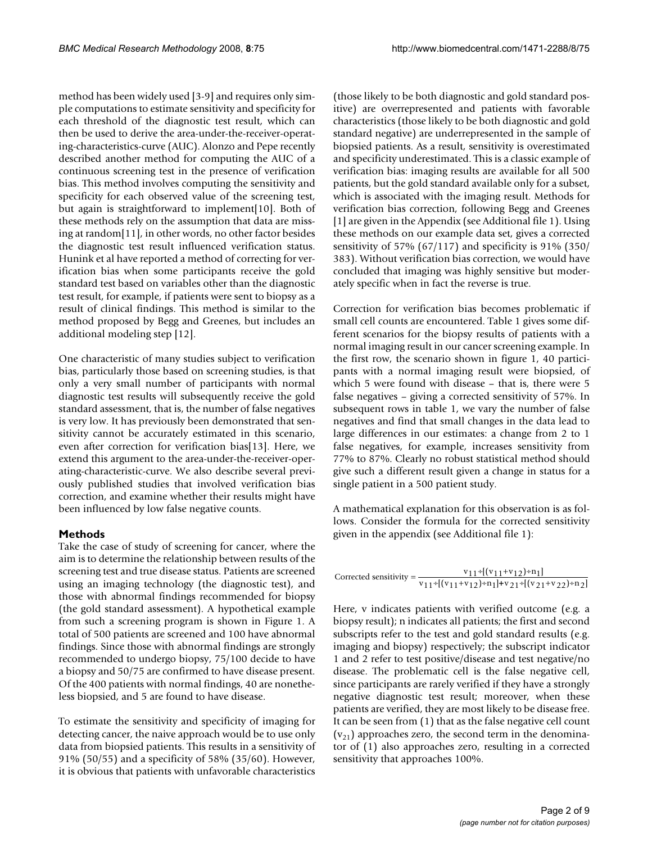method has been widely used [3-9] and requires only simple computations to estimate sensitivity and specificity for each threshold of the diagnostic test result, which can then be used to derive the area-under-the-receiver-operating-characteristics-curve (AUC). Alonzo and Pepe recently described another method for computing the AUC of a continuous screening test in the presence of verification bias. This method involves computing the sensitivity and specificity for each observed value of the screening test, but again is straightforward to implement[10]. Both of these methods rely on the assumption that data are missing at random[11], in other words, no other factor besides the diagnostic test result influenced verification status. Hunink et al have reported a method of correcting for verification bias when some participants receive the gold standard test based on variables other than the diagnostic test result, for example, if patients were sent to biopsy as a result of clinical findings. This method is similar to the method proposed by Begg and Greenes, but includes an additional modeling step [12].

One characteristic of many studies subject to verification bias, particularly those based on screening studies, is that only a very small number of participants with normal diagnostic test results will subsequently receive the gold standard assessment, that is, the number of false negatives is very low. It has previously been demonstrated that sensitivity cannot be accurately estimated in this scenario, even after correction for verification bias[13]. Here, we extend this argument to the area-under-the-receiver-operating-characteristic-curve. We also describe several previously published studies that involved verification bias correction, and examine whether their results might have been influenced by low false negative counts.

# **Methods**

Take the case of study of screening for cancer, where the aim is to determine the relationship between results of the screening test and true disease status. Patients are screened using an imaging technology (the diagnostic test), and those with abnormal findings recommended for biopsy (the gold standard assessment). A hypothetical example from such a screening program is shown in Figure 1. A total of 500 patients are screened and 100 have abnormal findings. Since those with abnormal findings are strongly recommended to undergo biopsy, 75/100 decide to have a biopsy and 50/75 are confirmed to have disease present. Of the 400 patients with normal findings, 40 are nonetheless biopsied, and 5 are found to have disease.

To estimate the sensitivity and specificity of imaging for detecting cancer, the naive approach would be to use only data from biopsied patients. This results in a sensitivity of 91% (50/55) and a specificity of 58% (35/60). However, it is obvious that patients with unfavorable characteristics

(those likely to be both diagnostic and gold standard positive) are overrepresented and patients with favorable characteristics (those likely to be both diagnostic and gold standard negative) are underrepresented in the sample of biopsied patients. As a result, sensitivity is overestimated and specificity underestimated. This is a classic example of verification bias: imaging results are available for all 500 patients, but the gold standard available only for a subset, which is associated with the imaging result. Methods for verification bias correction, following Begg and Greenes [1] are given in the Appendix (see Additional file 1). Using these methods on our example data set, gives a corrected sensitivity of 57% (67/117) and specificity is 91% (350/ 383). Without verification bias correction, we would have concluded that imaging was highly sensitive but moderately specific when in fact the reverse is true.

Correction for verification bias becomes problematic if small cell counts are encountered. Table 1 gives some different scenarios for the biopsy results of patients with a normal imaging result in our cancer screening example. In the first row, the scenario shown in figure 1, 40 participants with a normal imaging result were biopsied, of which 5 were found with disease – that is, there were 5 false negatives – giving a corrected sensitivity of 57%. In subsequent rows in table 1, we vary the number of false negatives and find that small changes in the data lead to large differences in our estimates: a change from 2 to 1 false negatives, for example, increases sensitivity from 77% to 87%. Clearly no robust statistical method should give such a different result given a change in status for a single patient in a 500 patient study.

A mathematical explanation for this observation is as follows. Consider the formula for the corrected sensitivity given in the appendix (see Additional file 1):

| Corrected sensitivity $=$ | $v_{11}$ + $[v_{11}$ + $v_{12}$ )+ $n_1$                                           |
|---------------------------|------------------------------------------------------------------------------------|
|                           | $v_{11}$ + $[v_{11}$ + $v_{12}$ + $n_1$ + $v_{21}$ + $[v_{21}$ + $v_{22}$ + $n_2]$ |

Here, v indicates patients with verified outcome (e.g. a biopsy result); n indicates all patients; the first and second subscripts refer to the test and gold standard results (e.g. imaging and biopsy) respectively; the subscript indicator 1 and 2 refer to test positive/disease and test negative/no disease. The problematic cell is the false negative cell, since participants are rarely verified if they have a strongly negative diagnostic test result; moreover, when these patients are verified, they are most likely to be disease free. It can be seen from (1) that as the false negative cell count  $(v_{21})$  approaches zero, the second term in the denominator of (1) also approaches zero, resulting in a corrected sensitivity that approaches 100%.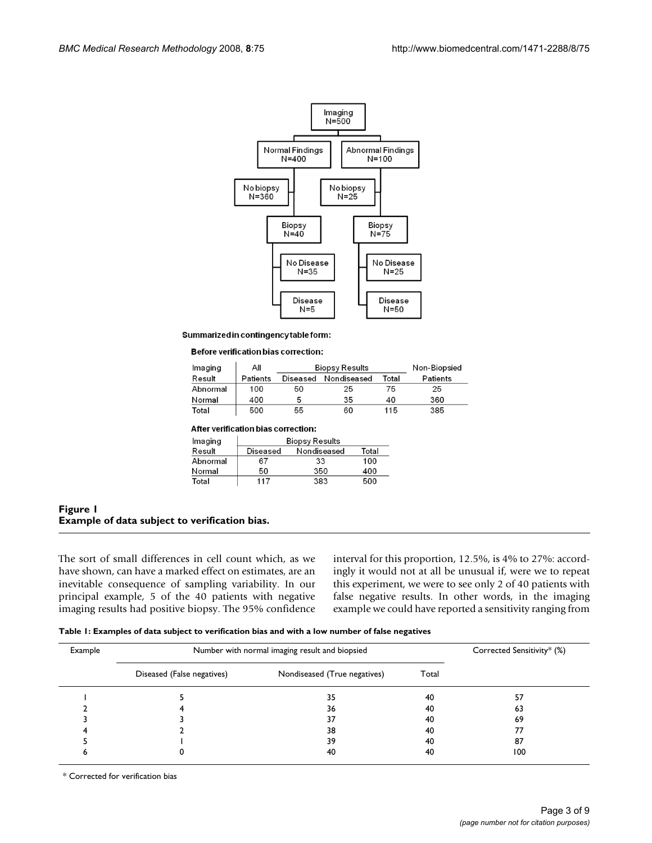

Summarized in contingency table form:

#### **Before verification bias correction:**

| Imaging  | Αll      | <b>Biopsy Results</b> | Non-Biopsied         |       |          |
|----------|----------|-----------------------|----------------------|-------|----------|
| Result   | Patients |                       | Diseased Nondiseased | Total | Patients |
| Abnormal | 100      | 50                    | 25                   | 75    | 25       |
| Normal   | 400      |                       | 35                   | 40    | 360      |
| Total    | 500      | 55                    | 60                   | 115   | 385      |

#### After verification bias correction:

| <b>Biopsy Results</b> |             |       |  |  |  |
|-----------------------|-------------|-------|--|--|--|
| <b>Diseased</b>       | Nondiseased | Total |  |  |  |
| 67                    | 33          | 100   |  |  |  |
| 50                    | 350         | 400   |  |  |  |
| 117                   | 383         | 500   |  |  |  |
|                       |             |       |  |  |  |

# Figure 1 **Example of data subject to verification bias.**

The sort of small differences in cell count which, as we have shown, can have a marked effect on estimates, are an inevitable consequence of sampling variability. In our principal example, 5 of the 40 patients with negative imaging results had positive biopsy. The 95% confidence interval for this proportion, 12.5%, is 4% to 27%: accordingly it would not at all be unusual if, were we to repeat this experiment, we were to see only 2 of 40 patients with false negative results. In other words, in the imaging example we could have reported a sensitivity ranging from

|  |  |  | Table 1: Examples of data subject to verification bias and with a low number of false negatives |  |
|--|--|--|-------------------------------------------------------------------------------------------------|--|
|--|--|--|-------------------------------------------------------------------------------------------------|--|

| Example | Number with normal imaging result and biopsied | Corrected Sensitivity* (%)   |       |     |
|---------|------------------------------------------------|------------------------------|-------|-----|
|         | Diseased (False negatives)                     | Nondiseased (True negatives) | Total |     |
|         |                                                | 35                           | 40    | 57  |
|         |                                                | 36                           | 40    | 63  |
|         |                                                | 37                           | 40    | 69  |
|         |                                                | 38                           | 40    | 77  |
|         |                                                | 39                           | 40    | 87  |
|         |                                                | 40                           | 40    | 100 |

\* Corrected for verification bias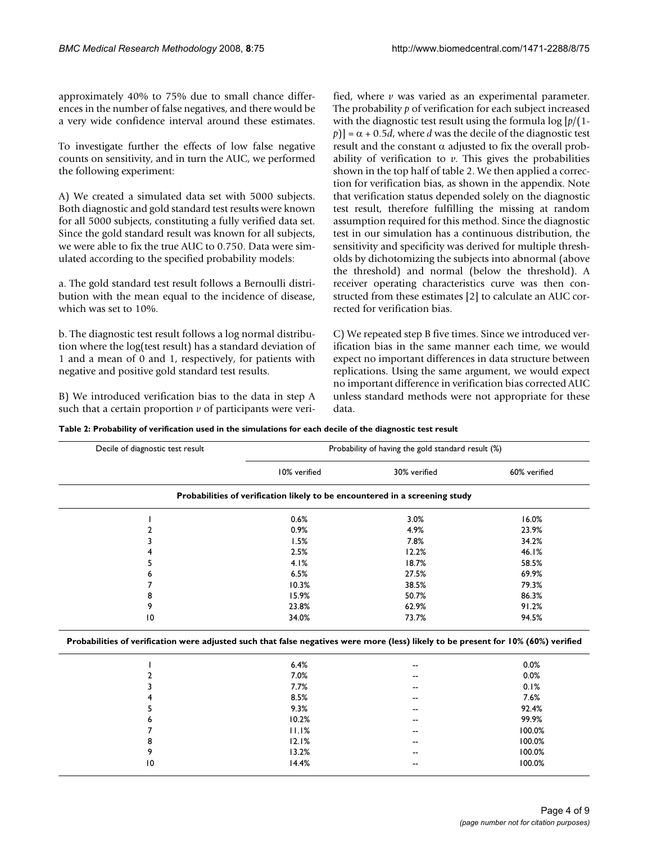approximately 40% to 75% due to small chance differences in the number of false negatives, and there would be a very wide confidence interval around these estimates.

To investigate further the effects of low false negative counts on sensitivity, and in turn the AUC, we performed the following experiment:

A) We created a simulated data set with 5000 subjects. Both diagnostic and gold standard test results were known for all 5000 subjects, constituting a fully verified data set. Since the gold standard result was known for all subjects, we were able to fix the true AUC to 0.750. Data were simulated according to the specified probability models:

a. The gold standard test result follows a Bernoulli distribution with the mean equal to the incidence of disease, which was set to 10%.

b. The diagnostic test result follows a log normal distribution where the log(test result) has a standard deviation of 1 and a mean of 0 and 1, respectively, for patients with negative and positive gold standard test results.

B) We introduced verification bias to the data in step A such that a certain proportion *v* of participants were verified, where *v* was varied as an experimental parameter. The probability *p* of verification for each subject increased with the diagnostic test result using the formula log [*p*/(1  $p$ ] =  $\alpha$  + 0.5*d*, where *d* was the decile of the diagnostic test result and the constant  $\alpha$  adjusted to fix the overall probability of verification to *v*. This gives the probabilities shown in the top half of table 2. We then applied a correction for verification bias, as shown in the appendix. Note that verification status depended solely on the diagnostic test result, therefore fulfilling the missing at random assumption required for this method. Since the diagnostic test in our simulation has a continuous distribution, the sensitivity and specificity was derived for multiple thresholds by dichotomizing the subjects into abnormal (above the threshold) and normal (below the threshold). A receiver operating characteristics curve was then constructed from these estimates [2] to calculate an AUC corrected for verification bias.

C) We repeated step B five times. Since we introduced verification bias in the same manner each time, we would expect no important differences in data structure between replications. Using the same argument, we would expect no important difference in verification bias corrected AUC unless standard methods were not appropriate for these data.

**Table 2: Probability of verification used in the simulations for each decile of the diagnostic test result**

| Decile of diagnostic test result                                                                                                   | Probability of having the gold standard result (%)                          |              |              |  |  |
|------------------------------------------------------------------------------------------------------------------------------------|-----------------------------------------------------------------------------|--------------|--------------|--|--|
|                                                                                                                                    | 10% verified                                                                | 30% verified | 60% verified |  |  |
|                                                                                                                                    | Probabilities of verification likely to be encountered in a screening study |              |              |  |  |
|                                                                                                                                    | 0.6%                                                                        | 3.0%         | 16.0%        |  |  |
| 2                                                                                                                                  | 0.9%                                                                        | 4.9%         | 23.9%        |  |  |
| 3                                                                                                                                  | 1.5%                                                                        | 7.8%         | 34.2%        |  |  |
| 4                                                                                                                                  | 2.5%                                                                        | 12.2%        | 46.1%        |  |  |
| 5                                                                                                                                  | 4.1%                                                                        | 18.7%        | 58.5%        |  |  |
| 6                                                                                                                                  | 6.5%                                                                        | 27.5%        | 69.9%        |  |  |
| 7                                                                                                                                  | 10.3%                                                                       | 38.5%        | 79.3%        |  |  |
| 8                                                                                                                                  | 15.9%                                                                       | 50.7%        | 86.3%        |  |  |
| 9                                                                                                                                  | 23.8%                                                                       | 62.9%        | 91.2%        |  |  |
| 10                                                                                                                                 | 34.0%                                                                       | 73.7%        | 94.5%        |  |  |
| Probabilities of verification were adjusted such that false negatives were more (less) likely to be present for 10% (60%) verified |                                                                             |              |              |  |  |
|                                                                                                                                    | 6.4%                                                                        |              | 0.0%         |  |  |
| $\overline{2}$                                                                                                                     | 7.0%                                                                        |              | 0.0%         |  |  |
| 3                                                                                                                                  | 7.7%                                                                        |              | 0.1%         |  |  |
| 4                                                                                                                                  | 8.5%                                                                        |              | 7.6%         |  |  |
| 5                                                                                                                                  | 9.3%                                                                        |              | 92.4%        |  |  |
| 6                                                                                                                                  | 10.2%                                                                       |              | 99.9%        |  |  |
| 7                                                                                                                                  | 11.1%                                                                       |              | 100.0%       |  |  |
| 8                                                                                                                                  | 12.1%                                                                       |              | 100.0%       |  |  |
|                                                                                                                                    |                                                                             |              |              |  |  |
| 9                                                                                                                                  | 13.2%                                                                       |              | 100.0%       |  |  |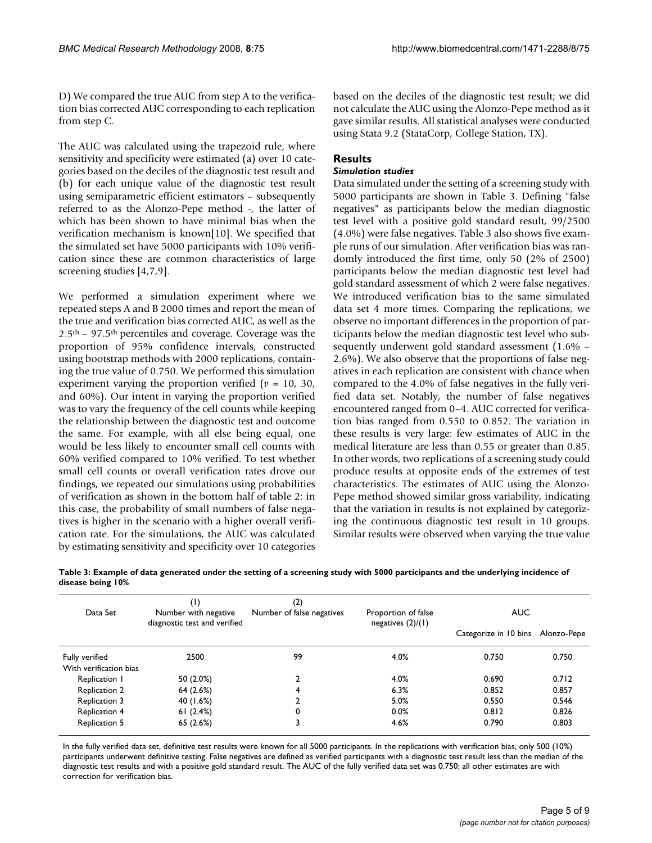D) We compared the true AUC from step A to the verification bias corrected AUC corresponding to each replication from step C.

The AUC was calculated using the trapezoid rule, where sensitivity and specificity were estimated (a) over 10 categories based on the deciles of the diagnostic test result and (b) for each unique value of the diagnostic test result using semiparametric efficient estimators – subsequently referred to as the Alonzo-Pepe method -, the latter of which has been shown to have minimal bias when the verification mechanism is known[10]. We specified that the simulated set have 5000 participants with 10% verification since these are common characteristics of large screening studies [4,7,9].

We performed a simulation experiment where we repeated steps A and B 2000 times and report the mean of the true and verification bias corrected AUC, as well as the  $2.5<sup>th</sup>$  – 97.5<sup>th</sup> percentiles and coverage. Coverage was the proportion of 95% confidence intervals, constructed using bootstrap methods with 2000 replications, containing the true value of 0.750. We performed this simulation experiment varying the proportion verified ( $\nu = 10, 30$ , and 60%). Our intent in varying the proportion verified was to vary the frequency of the cell counts while keeping the relationship between the diagnostic test and outcome the same. For example, with all else being equal, one would be less likely to encounter small cell counts with 60% verified compared to 10% verified. To test whether small cell counts or overall verification rates drove our findings, we repeated our simulations using probabilities of verification as shown in the bottom half of table 2: in this case, the probability of small numbers of false negatives is higher in the scenario with a higher overall verification rate. For the simulations, the AUC was calculated by estimating sensitivity and specificity over 10 categories based on the deciles of the diagnostic test result; we did not calculate the AUC using the Alonzo-Pepe method as it gave similar results. All statistical analyses were conducted using Stata 9.2 (StataCorp, College Station, TX).

# **Results**

# *Simulation studies*

Data simulated under the setting of a screening study with 5000 participants are shown in Table 3. Defining "false negatives" as participants below the median diagnostic test level with a positive gold standard result, 99/2500 (4.0%) were false negatives. Table 3 also shows five example runs of our simulation. After verification bias was randomly introduced the first time, only 50 (2% of 2500) participants below the median diagnostic test level had gold standard assessment of which 2 were false negatives. We introduced verification bias to the same simulated data set 4 more times. Comparing the replications, we observe no important differences in the proportion of participants below the median diagnostic test level who subsequently underwent gold standard assessment (1.6% – 2.6%). We also observe that the proportions of false negatives in each replication are consistent with chance when compared to the 4.0% of false negatives in the fully verified data set. Notably, the number of false negatives encountered ranged from 0–4. AUC corrected for verification bias ranged from 0.550 to 0.852. The variation in these results is very large: few estimates of AUC in the medical literature are less than 0.55 or greater than 0.85. In other words, two replications of a screening study could produce results at opposite ends of the extremes of test characteristics. The estimates of AUC using the Alonzo-Pepe method showed similar gross variability, indicating that the variation in results is not explained by categorizing the continuous diagnostic test result in 10 groups. Similar results were observed when varying the true value

| Data Set               | (I)<br>Number with negative<br>diagnostic test and verified | (2)<br>Number of false negatives | Proportion of false<br>negatives $(2)/(1)$ | <b>AUC</b>            |             |
|------------------------|-------------------------------------------------------------|----------------------------------|--------------------------------------------|-----------------------|-------------|
|                        |                                                             |                                  |                                            | Categorize in 10 bins | Alonzo-Pepe |
| Fully verified         | 2500                                                        | 99                               | 4.0%                                       | 0.750                 | 0.750       |
| With verification bias |                                                             |                                  |                                            |                       |             |
| Replication 1          | 50 (2.0%)                                                   |                                  | 4.0%                                       | 0.690                 | 0.712       |
| Replication 2          | 64 (2.6%)                                                   | 4                                | 6.3%                                       | 0.852                 | 0.857       |
| Replication 3          | 40 (1.6%)                                                   |                                  | 5.0%                                       | 0.550                 | 0.546       |
| Replication 4          | 61 $(2.4%)$                                                 |                                  | 0.0%                                       | 0.812                 | 0.826       |
| Replication 5          | 65 (2.6%)                                                   |                                  | 4.6%                                       | 0.790                 | 0.803       |

| Table 3: Example of data generated under the setting of a screening study with 5000 participants and the underlying incidence of |  |
|----------------------------------------------------------------------------------------------------------------------------------|--|
| disease being 10%                                                                                                                |  |

In the fully verified data set, definitive test results were known for all 5000 participants. In the replications with verification bias, only 500 (10%) participants underwent definitive testing. False negatives are defined as verified participants with a diagnostic test result less than the median of the diagnostic test results and with a positive gold standard result. The AUC of the fully verified data set was 0.750; all other estimates are with correction for verification bias.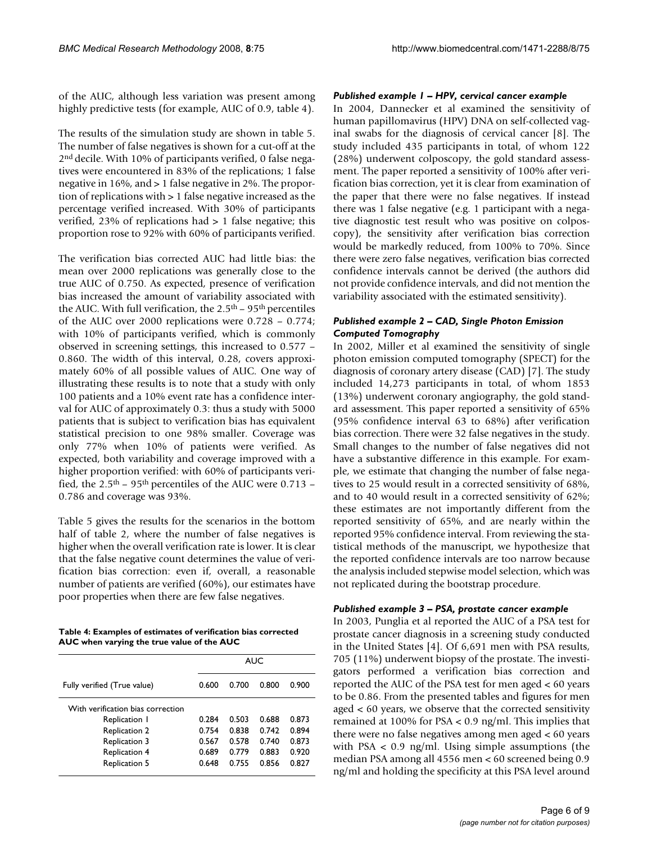of the AUC, although less variation was present among highly predictive tests (for example, AUC of 0.9, table 4).

The results of the simulation study are shown in table 5. The number of false negatives is shown for a cut-off at the 2nd decile. With 10% of participants verified, 0 false negatives were encountered in 83% of the replications; 1 false negative in 16%, and > 1 false negative in 2%. The proportion of replications with > 1 false negative increased as the percentage verified increased. With 30% of participants verified, 23% of replications had  $> 1$  false negative; this proportion rose to 92% with 60% of participants verified.

The verification bias corrected AUC had little bias: the mean over 2000 replications was generally close to the true AUC of 0.750. As expected, presence of verification bias increased the amount of variability associated with the AUC. With full verification, the  $2.5<sup>th</sup> - 95<sup>th</sup>$  percentiles of the AUC over 2000 replications were 0.728 – 0.774; with 10% of participants verified, which is commonly observed in screening settings, this increased to 0.577 – 0.860. The width of this interval, 0.28, covers approximately 60% of all possible values of AUC. One way of illustrating these results is to note that a study with only 100 patients and a 10% event rate has a confidence interval for AUC of approximately 0.3: thus a study with 5000 patients that is subject to verification bias has equivalent statistical precision to one 98% smaller. Coverage was only 77% when 10% of patients were verified. As expected, both variability and coverage improved with a higher proportion verified: with 60% of participants verified, the  $2.5<sup>th</sup>$  – 95<sup>th</sup> percentiles of the AUC were 0.713 – 0.786 and coverage was 93%.

Table 5 gives the results for the scenarios in the bottom half of table 2, where the number of false negatives is higher when the overall verification rate is lower. It is clear that the false negative count determines the value of verification bias correction: even if, overall, a reasonable number of patients are verified (60%), our estimates have poor properties when there are few false negatives.

**Table 4: Examples of estimates of verification bias corrected AUC when varying the true value of the AUC**

|                                   | <b>AUC</b> |       |       |       |
|-----------------------------------|------------|-------|-------|-------|
| Fully verified (True value)       | 0.600      | 0.700 | 0.800 | 0.900 |
| With verification bias correction |            |       |       |       |
| Replication 1                     | 0.284      | 0.503 | 0.688 | 0.873 |
| Replication 2                     | 0.754      | 0.838 | 0.742 | 0.894 |
| Replication 3                     | 0.567      | 0.578 | 0.740 | 0.873 |
| <b>Replication 4</b>              | 0.689      | 0.779 | 0.883 | 0.920 |
| Replication 5                     | 0.648      | 0.755 | 0.856 | 0.827 |

#### *Published example 1 – HPV, cervical cancer example*

In 2004, Dannecker et al examined the sensitivity of human papillomavirus (HPV) DNA on self-collected vaginal swabs for the diagnosis of cervical cancer [8]. The study included 435 participants in total, of whom 122 (28%) underwent colposcopy, the gold standard assessment. The paper reported a sensitivity of 100% after verification bias correction, yet it is clear from examination of the paper that there were no false negatives. If instead there was 1 false negative (e.g. 1 participant with a negative diagnostic test result who was positive on colposcopy), the sensitivity after verification bias correction would be markedly reduced, from 100% to 70%. Since there were zero false negatives, verification bias corrected confidence intervals cannot be derived (the authors did not provide confidence intervals, and did not mention the variability associated with the estimated sensitivity).

# *Published example 2 – CAD, Single Photon Emission Computed Tomography*

In 2002, Miller et al examined the sensitivity of single photon emission computed tomography (SPECT) for the diagnosis of coronary artery disease (CAD) [7]. The study included 14,273 participants in total, of whom 1853 (13%) underwent coronary angiography, the gold standard assessment. This paper reported a sensitivity of 65% (95% confidence interval 63 to 68%) after verification bias correction. There were 32 false negatives in the study. Small changes to the number of false negatives did not have a substantive difference in this example. For example, we estimate that changing the number of false negatives to 25 would result in a corrected sensitivity of 68%, and to 40 would result in a corrected sensitivity of 62%; these estimates are not importantly different from the reported sensitivity of 65%, and are nearly within the reported 95% confidence interval. From reviewing the statistical methods of the manuscript, we hypothesize that the reported confidence intervals are too narrow because the analysis included stepwise model selection, which was not replicated during the bootstrap procedure.

#### *Published example 3 – PSA, prostate cancer example*

In 2003, Punglia et al reported the AUC of a PSA test for prostate cancer diagnosis in a screening study conducted in the United States [4]. Of 6,691 men with PSA results, 705 (11%) underwent biopsy of the prostate. The investigators performed a verification bias correction and reported the AUC of the PSA test for men aged < 60 years to be 0.86. From the presented tables and figures for men aged < 60 years, we observe that the corrected sensitivity remained at 100% for  $PSA < 0.9$  ng/ml. This implies that there were no false negatives among men aged < 60 years with PSA  $< 0.9$  ng/ml. Using simple assumptions (the median PSA among all 4556 men < 60 screened being 0.9 ng/ml and holding the specificity at this PSA level around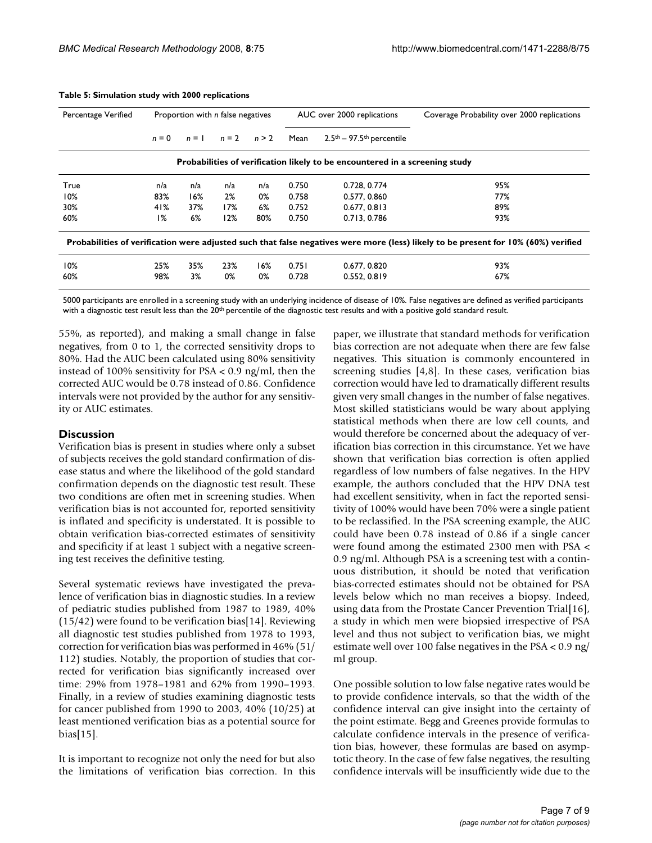| Percentage Verified | Proportion with <i>n</i> false negatives |     |     | AUC over 2000 replications | Coverage Probability over 2000 replications |                                                                             |                                                                                                                                    |
|---------------------|------------------------------------------|-----|-----|----------------------------|---------------------------------------------|-----------------------------------------------------------------------------|------------------------------------------------------------------------------------------------------------------------------------|
|                     | $n = 0$                                  |     |     | $n = 1$ $n = 2$ $n > 2$    | Mean                                        | $2.5th - 97.5th$ percentile                                                 |                                                                                                                                    |
|                     |                                          |     |     |                            |                                             | Probabilities of verification likely to be encountered in a screening study |                                                                                                                                    |
| True                | n/a                                      | n/a | n/a | n/a                        | 0.750                                       | 0.728, 0.774                                                                | 95%                                                                                                                                |
| 10%                 | 83%                                      | 16% | 2%  | 0%                         | 0.758                                       | 0.577, 0.860                                                                | 77%                                                                                                                                |
| 30%                 | 41%                                      | 37% | 17% | 6%                         | 0.752                                       | 0.677, 0.813                                                                | 89%                                                                                                                                |
| 60%                 | 1%                                       | 6%  | 12% | 80%                        | 0.750                                       | 0.713, 0.786                                                                | 93%                                                                                                                                |
|                     |                                          |     |     |                            |                                             |                                                                             | Probabilities of verification were adjusted such that false negatives were more (less) likely to be present for 10% (60%) verified |
| $10\%$              | 25%                                      | 35% | 23% | 16%                        | 0.751                                       | 0.677, 0.820                                                                | 93%                                                                                                                                |
| 60%                 | 98%                                      | 3%  | 0%  | 0%                         | 0.728                                       | 0.552, 0.819                                                                | 67%                                                                                                                                |

#### **Table 5: Simulation study with 2000 replications**

5000 participants are enrolled in a screening study with an underlying incidence of disease of 10%. False negatives are defined as verified participants with a diagnostic test result less than the 20<sup>th</sup> percentile of the diagnostic test results and with a positive gold standard result.

55%, as reported), and making a small change in false negatives, from 0 to 1, the corrected sensitivity drops to 80%. Had the AUC been calculated using 80% sensitivity instead of 100% sensitivity for PSA < 0.9 ng/ml, then the corrected AUC would be 0.78 instead of 0.86. Confidence intervals were not provided by the author for any sensitivity or AUC estimates.

### **Discussion**

Verification bias is present in studies where only a subset of subjects receives the gold standard confirmation of disease status and where the likelihood of the gold standard confirmation depends on the diagnostic test result. These two conditions are often met in screening studies. When verification bias is not accounted for, reported sensitivity is inflated and specificity is understated. It is possible to obtain verification bias-corrected estimates of sensitivity and specificity if at least 1 subject with a negative screening test receives the definitive testing.

Several systematic reviews have investigated the prevalence of verification bias in diagnostic studies. In a review of pediatric studies published from 1987 to 1989, 40% (15/42) were found to be verification bias[14]. Reviewing all diagnostic test studies published from 1978 to 1993, correction for verification bias was performed in 46% (51/ 112) studies. Notably, the proportion of studies that corrected for verification bias significantly increased over time: 29% from 1978–1981 and 62% from 1990–1993. Finally, in a review of studies examining diagnostic tests for cancer published from 1990 to 2003, 40% (10/25) at least mentioned verification bias as a potential source for bias[15].

It is important to recognize not only the need for but also the limitations of verification bias correction. In this paper, we illustrate that standard methods for verification bias correction are not adequate when there are few false negatives. This situation is commonly encountered in screening studies [4,8]. In these cases, verification bias correction would have led to dramatically different results given very small changes in the number of false negatives. Most skilled statisticians would be wary about applying statistical methods when there are low cell counts, and would therefore be concerned about the adequacy of verification bias correction in this circumstance. Yet we have shown that verification bias correction is often applied regardless of low numbers of false negatives. In the HPV example, the authors concluded that the HPV DNA test had excellent sensitivity, when in fact the reported sensitivity of 100% would have been 70% were a single patient to be reclassified. In the PSA screening example, the AUC could have been 0.78 instead of 0.86 if a single cancer were found among the estimated 2300 men with PSA < 0.9 ng/ml. Although PSA is a screening test with a continuous distribution, it should be noted that verification bias-corrected estimates should not be obtained for PSA levels below which no man receives a biopsy. Indeed, using data from the Prostate Cancer Prevention Trial[16], a study in which men were biopsied irrespective of PSA level and thus not subject to verification bias, we might estimate well over 100 false negatives in the PSA < 0.9 ng/ ml group.

One possible solution to low false negative rates would be to provide confidence intervals, so that the width of the confidence interval can give insight into the certainty of the point estimate. Begg and Greenes provide formulas to calculate confidence intervals in the presence of verification bias, however, these formulas are based on asymptotic theory. In the case of few false negatives, the resulting confidence intervals will be insufficiently wide due to the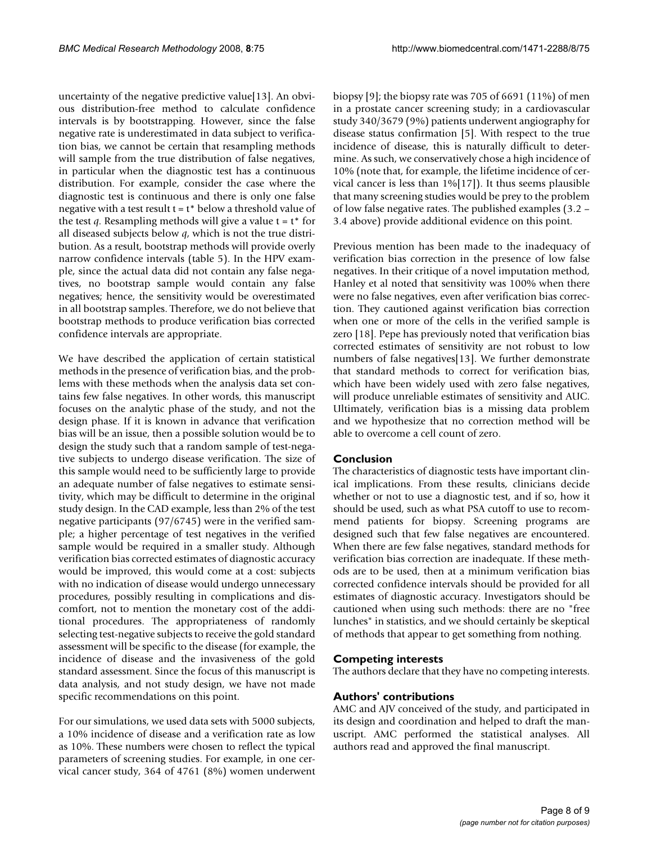uncertainty of the negative predictive value[13]. An obvious distribution-free method to calculate confidence intervals is by bootstrapping. However, since the false negative rate is underestimated in data subject to verification bias, we cannot be certain that resampling methods will sample from the true distribution of false negatives, in particular when the diagnostic test has a continuous distribution. For example, consider the case where the diagnostic test is continuous and there is only one false negative with a test result  $t = t^*$  below a threshold value of the test *q*. Resampling methods will give a value  $t = t^*$  for all diseased subjects below *q*, which is not the true distribution. As a result, bootstrap methods will provide overly narrow confidence intervals (table 5). In the HPV example, since the actual data did not contain any false negatives, no bootstrap sample would contain any false negatives; hence, the sensitivity would be overestimated in all bootstrap samples. Therefore, we do not believe that bootstrap methods to produce verification bias corrected confidence intervals are appropriate.

We have described the application of certain statistical methods in the presence of verification bias, and the problems with these methods when the analysis data set contains few false negatives. In other words, this manuscript focuses on the analytic phase of the study, and not the design phase. If it is known in advance that verification bias will be an issue, then a possible solution would be to design the study such that a random sample of test-negative subjects to undergo disease verification. The size of this sample would need to be sufficiently large to provide an adequate number of false negatives to estimate sensitivity, which may be difficult to determine in the original study design. In the CAD example, less than 2% of the test negative participants (97/6745) were in the verified sample; a higher percentage of test negatives in the verified sample would be required in a smaller study. Although verification bias corrected estimates of diagnostic accuracy would be improved, this would come at a cost: subjects with no indication of disease would undergo unnecessary procedures, possibly resulting in complications and discomfort, not to mention the monetary cost of the additional procedures. The appropriateness of randomly selecting test-negative subjects to receive the gold standard assessment will be specific to the disease (for example, the incidence of disease and the invasiveness of the gold standard assessment. Since the focus of this manuscript is data analysis, and not study design, we have not made specific recommendations on this point.

For our simulations, we used data sets with 5000 subjects, a 10% incidence of disease and a verification rate as low as 10%. These numbers were chosen to reflect the typical parameters of screening studies. For example, in one cervical cancer study, 364 of 4761 (8%) women underwent biopsy [9]; the biopsy rate was 705 of 6691 (11%) of men in a prostate cancer screening study; in a cardiovascular study 340/3679 (9%) patients underwent angiography for disease status confirmation [5]. With respect to the true incidence of disease, this is naturally difficult to determine. As such, we conservatively chose a high incidence of 10% (note that, for example, the lifetime incidence of cervical cancer is less than 1%[17]). It thus seems plausible that many screening studies would be prey to the problem of low false negative rates. The published examples (3.2 – 3.4 above) provide additional evidence on this point.

Previous mention has been made to the inadequacy of verification bias correction in the presence of low false negatives. In their critique of a novel imputation method, Hanley et al noted that sensitivity was 100% when there were no false negatives, even after verification bias correction. They cautioned against verification bias correction when one or more of the cells in the verified sample is zero [18]. Pepe has previously noted that verification bias corrected estimates of sensitivity are not robust to low numbers of false negatives[13]. We further demonstrate that standard methods to correct for verification bias, which have been widely used with zero false negatives, will produce unreliable estimates of sensitivity and AUC. Ultimately, verification bias is a missing data problem and we hypothesize that no correction method will be able to overcome a cell count of zero.

### **Conclusion**

The characteristics of diagnostic tests have important clinical implications. From these results, clinicians decide whether or not to use a diagnostic test, and if so, how it should be used, such as what PSA cutoff to use to recommend patients for biopsy. Screening programs are designed such that few false negatives are encountered. When there are few false negatives, standard methods for verification bias correction are inadequate. If these methods are to be used, then at a minimum verification bias corrected confidence intervals should be provided for all estimates of diagnostic accuracy. Investigators should be cautioned when using such methods: there are no "free lunches" in statistics, and we should certainly be skeptical of methods that appear to get something from nothing.

#### **Competing interests**

The authors declare that they have no competing interests.

#### **Authors' contributions**

AMC and AJV conceived of the study, and participated in its design and coordination and helped to draft the manuscript. AMC performed the statistical analyses. All authors read and approved the final manuscript.